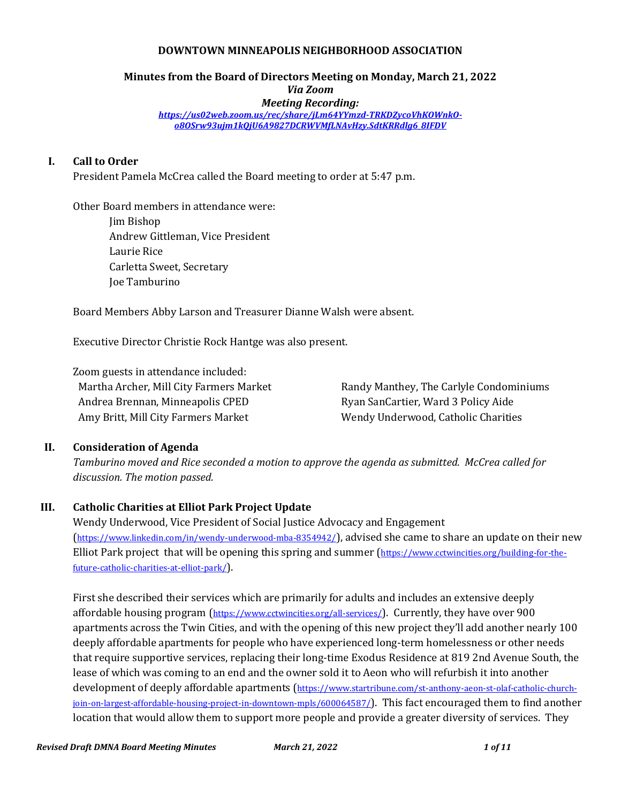#### **DOWNTOWN MINNEAPOLIS NEIGHBORHOOD ASSOCIATION**

#### **Minutes from the Board of Directors Meeting on Monday, March 21, 2022** *Via Zoom Meeting Recording: [https://us02web.zoom.us/rec/share/jLm64YYmzd-TRKDZycoVhKOWnkO](https://us02web.zoom.us/rec/share/jLm64YYmzd-TRKDZycoVhKOWnkO-o8OSrw93ujm1kQjU6A9827DCRWVMfLNAvHzy.SdtKRRdlg6_8IFDV)[o8OSrw93ujm1kQjU6A9827DCRWVMfLNAvHzy.SdtKRRdlg6\\_8IFDV](https://us02web.zoom.us/rec/share/jLm64YYmzd-TRKDZycoVhKOWnkO-o8OSrw93ujm1kQjU6A9827DCRWVMfLNAvHzy.SdtKRRdlg6_8IFDV)*

### **I. Call to Order**

President Pamela McCrea called the Board meeting to order at 5:47 p.m.

Other Board members in attendance were:

Jim Bishop Andrew Gittleman, Vice President Laurie Rice Carletta Sweet, Secretary Joe Tamburino

Board Members Abby Larson and Treasurer Dianne Walsh were absent.

Executive Director Christie Rock Hantge was also present.

Zoom guests in attendance included: Martha Archer, Mill City Farmers Market Andrea Brennan, Minneapolis CPED Amy Britt, Mill City Farmers Market

Randy Manthey, The Carlyle Condominiums Ryan SanCartier, Ward 3 Policy Aide Wendy Underwood, Catholic Charities

#### **II. Consideration of Agenda**

*Tamburino moved and Rice seconded a motion to approve the agenda as submitted. McCrea called for discussion. The motion passed.*

### **III. Catholic Charities at Elliot Park Project Update**

Wendy Underwood, Vice President of Social Justice Advocacy and Engagement (<https://www.linkedin.com/in/wendy-underwood-mba-8354942/>), advised she came to share an update on their new Elliot Park project that will be opening this spring and summer ([https://www.cctwincities.org/building-for-the](https://www.cctwincities.org/building-for-the-future-catholic-charities-at-elliot-park/)[future-catholic-charities-at-elliot-park/](https://www.cctwincities.org/building-for-the-future-catholic-charities-at-elliot-park/)).

First she described their services which are primarily for adults and includes an extensive deeply affordable housing program (<https://www.cctwincities.org/all-services/>). Currently, they have over 900 apartments across the Twin Cities, and with the opening of this new project they'll add another nearly 100 deeply affordable apartments for people who have experienced long-term homelessness or other needs that require supportive services, replacing their long-time Exodus Residence at 819 2nd Avenue South, the lease of which was coming to an end and the owner sold it to Aeon who will refurbish it into another development of deeply affordable apartments ([https://www.startribune.com/st-anthony-aeon-st-olaf-catholic-church](https://www.startribune.com/st-anthony-aeon-st-olaf-catholic-church-join-on-largest-affordable-housing-project-in-downtown-mpls/600064587/)[join-on-largest-affordable-housing-project-in-downtown-mpls/600064587/](https://www.startribune.com/st-anthony-aeon-st-olaf-catholic-church-join-on-largest-affordable-housing-project-in-downtown-mpls/600064587/)). This fact encouraged them to find another location that would allow them to support more people and provide a greater diversity of services. They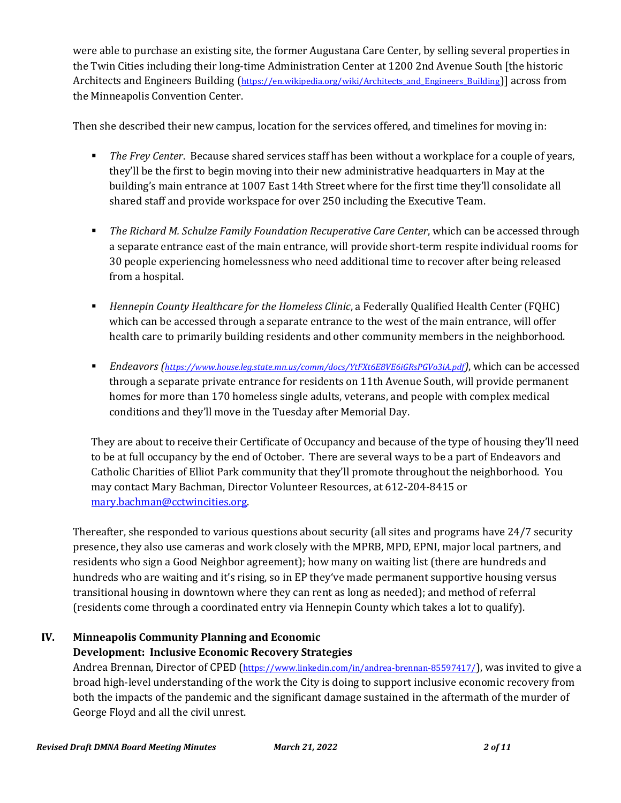were able to purchase an existing site, the former Augustana Care Center, by selling several properties in the Twin Cities including their long-time Administration Center at 1200 2nd Avenue South [the historic Architects and Engineers Building (https://en.wikipedia.org/wiki/Architects and Engineers Building)] across from the Minneapolis Convention Center.

Then she described their new campus, location for the services offered, and timelines for moving in:

- *The Frey Center*. Because shared services staff has been without a workplace for a couple of years, they'll be the first to begin moving into their new administrative headquarters in May at the building's main entrance at 1007 East 14th Street where for the first time they'll consolidate all shared staff and provide workspace for over 250 including the Executive Team.
- **The Richard M. Schulze Family Foundation Recuperative Care Center, which can be accessed through** a separate entrance east of the main entrance, will provide short-term respite individual rooms for 30 people experiencing homelessness who need additional time to recover after being released from a hospital.
- **EXPLED** *Hennepin County Healthcare for the Homeless Clinic***, a Federally Qualified Health Center (FQHC)** which can be accessed through a separate entrance to the west of the main entrance, will offer health care to primarily building residents and other community members in the neighborhood.
- *Endeavors (<https://www.house.leg.state.mn.us/comm/docs/YtFXt6E8VE6iGRsPGVo3iA.pdf>)*, which can be accessed through a separate private entrance for residents on 11th Avenue South, will provide permanent homes for more than 170 homeless single adults, veterans, and people with complex medical conditions and they'll move in the Tuesday after Memorial Day.

They are about to receive their Certificate of Occupancy and because of the type of housing they'll need to be at full occupancy by the end of October. There are several ways to be a part of Endeavors and Catholic Charities of Elliot Park community that they'll promote throughout the neighborhood. You may contact Mary Bachman, Director Volunteer Resources, at 612-204-8415 or [mary.bachman@cctwincities.org.](mailto:mary.bachman@cctwincities.org)

Thereafter, she responded to various questions about security (all sites and programs have 24/7 security presence, they also use cameras and work closely with the MPRB, MPD, EPNI, major local partners, and residents who sign a Good Neighbor agreement); how many on waiting list (there are hundreds and hundreds who are waiting and it's rising, so in EP they've made permanent supportive housing versus transitional housing in downtown where they can rent as long as needed); and method of referral (residents come through a coordinated entry via Hennepin County which takes a lot to qualify).

# **IV. Minneapolis Community Planning and Economic**

## **Development: Inclusive Economic Recovery Strategies**

Andrea Brennan, Director of CPED (<https://www.linkedin.com/in/andrea-brennan-85597417/>), was invited to give a broad high-level understanding of the work the City is doing to support inclusive economic recovery from both the impacts of the pandemic and the significant damage sustained in the aftermath of the murder of George Floyd and all the civil unrest.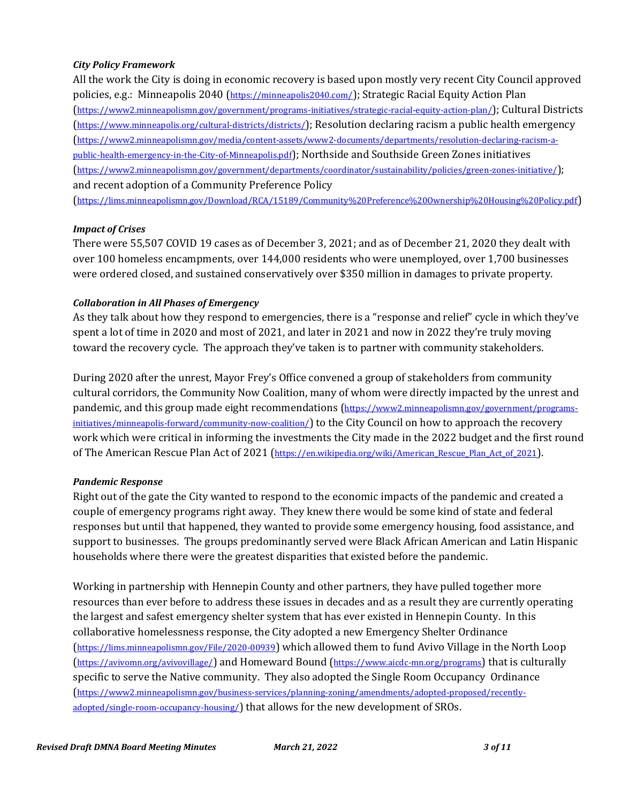#### *City Policy Framework*

All the work the City is doing in economic recovery is based upon mostly very recent City Council approved policies, e.g.: Minneapolis 2040 (<https://minneapolis2040.com/>); Strategic Racial Equity Action Plan (<https://www2.minneapolismn.gov/government/programs-initiatives/strategic-racial-equity-action-plan/>); Cultural Districts (<https://www.minneapolis.org/cultural-districts/districts/>); Resolution declaring racism a public health emergency ([https://www2.minneapolismn.gov/media/content-assets/www2-documents/departments/resolution-declaring-racism-a](https://www2.minneapolismn.gov/media/content-assets/www2-documents/departments/resolution-declaring-racism-a-public-health-emergency-in-the-City-of-Minneapolis.pdf)[public-health-emergency-in-the-City-of-Minneapolis.pdf](https://www2.minneapolismn.gov/media/content-assets/www2-documents/departments/resolution-declaring-racism-a-public-health-emergency-in-the-City-of-Minneapolis.pdf)); Northside and Southside Green Zones initiatives (<https://www2.minneapolismn.gov/government/departments/coordinator/sustainability/policies/green-zones-initiative/>); and recent adoption of a Community Preference Policy

(<https://lims.minneapolismn.gov/Download/RCA/15189/Community%20Preference%20Ownership%20Housing%20Policy.pdf>)

#### *Impact of Crises*

There were 55,507 COVID 19 cases as of December 3, 2021; and as of December 21, 2020 they dealt with over 100 homeless encampments, over 144,000 residents who were unemployed, over 1,700 businesses were ordered closed, and sustained conservatively over \$350 million in damages to private property.

#### *Collaboration in All Phases of Emergency*

As they talk about how they respond to emergencies, there is a "response and relief" cycle in which they've spent a lot of time in 2020 and most of 2021, and later in 2021 and now in 2022 they're truly moving toward the recovery cycle. The approach they've taken is to partner with community stakeholders.

During 2020 after the unrest, Mayor Frey's Office convened a group of stakeholders from community cultural corridors, the Community Now Coalition, many of whom were directly impacted by the unrest and pandemic, and this group made eight recommendations ([https://www2.minneapolismn.gov/government/programs](https://www2.minneapolismn.gov/government/programs-initiatives/minneapolis-forward/community-now-coalition/)[initiatives/minneapolis-forward/community-now-coalition/](https://www2.minneapolismn.gov/government/programs-initiatives/minneapolis-forward/community-now-coalition/)) to the City Council on how to approach the recovery work which were critical in informing the investments the City made in the 2022 budget and the first round of The American Rescue Plan Act of 2021 (https://en.wikipedia.org/wiki/American Rescue Plan Act of 2021).

### *Pandemic Response*

Right out of the gate the City wanted to respond to the economic impacts of the pandemic and created a couple of emergency programs right away. They knew there would be some kind of state and federal responses but until that happened, they wanted to provide some emergency housing, food assistance, and support to businesses. The groups predominantly served were Black African American and Latin Hispanic households where there were the greatest disparities that existed before the pandemic.

Working in partnership with Hennepin County and other partners, they have pulled together more resources than ever before to address these issues in decades and as a result they are currently operating the largest and safest emergency shelter system that has ever existed in Hennepin County. In this collaborative homelessness response, the City adopted a new Emergency Shelter Ordinance (<https://lims.minneapolismn.gov/File/2020-00939>) which allowed them to fund Avivo Village in the North Loop (<https://avivomn.org/avivovillage/>) and Homeward Bound (<https://www.aicdc-mn.org/programs>) that is culturally specific to serve the Native community. They also adopted the Single Room Occupancy Ordinance ([https://www2.minneapolismn.gov/business-services/planning-zoning/amendments/adopted-proposed/recently](https://www2.minneapolismn.gov/business-services/planning-zoning/amendments/adopted-proposed/recently-adopted/single-room-occupancy-housing/)[adopted/single-room-occupancy-housing/](https://www2.minneapolismn.gov/business-services/planning-zoning/amendments/adopted-proposed/recently-adopted/single-room-occupancy-housing/)) that allows for the new development of SROs.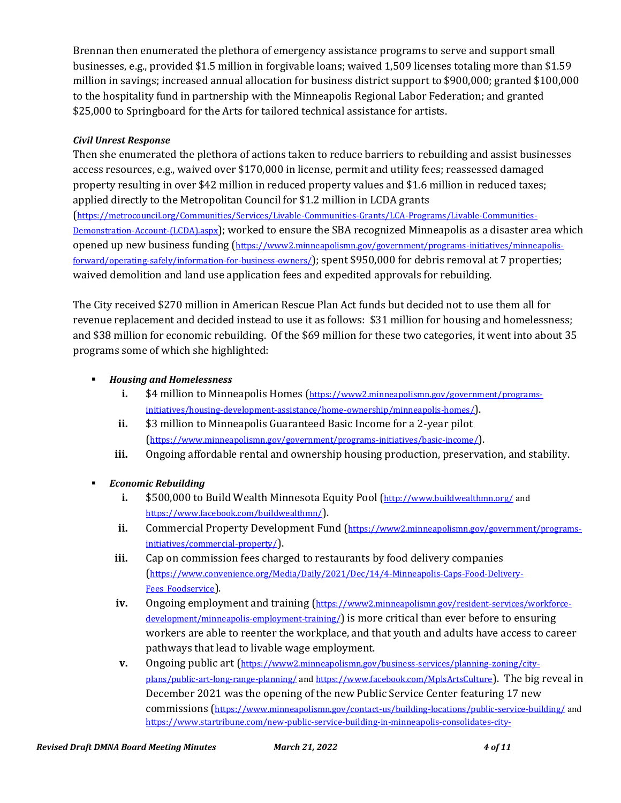Brennan then enumerated the plethora of emergency assistance programs to serve and support small businesses, e.g., provided \$1.5 million in forgivable loans; waived 1,509 licenses totaling more than \$1.59 million in savings; increased annual allocation for business district support to \$900,000; granted \$100,000 to the hospitality fund in partnership with the Minneapolis Regional Labor Federation; and granted \$25,000 to Springboard for the Arts for tailored technical assistance for artists.

### *Civil Unrest Response*

Then she enumerated the plethora of actions taken to reduce barriers to rebuilding and assist businesses access resources, e.g., waived over \$170,000 in license, permit and utility fees; reassessed damaged property resulting in over \$42 million in reduced property values and \$1.6 million in reduced taxes; applied directly to the Metropolitan Council for \$1.2 million in LCDA grants ([https://metrocouncil.org/Communities/Services/Livable-Communities-Grants/LCA-Programs/Livable-Communities-](https://metrocouncil.org/Communities/Services/Livable-Communities-Grants/LCA-Programs/Livable-Communities-Demonstration-Account-(LCDA).aspx)[Demonstration-Account-\(LCDA\).aspx](https://metrocouncil.org/Communities/Services/Livable-Communities-Grants/LCA-Programs/Livable-Communities-Demonstration-Account-(LCDA).aspx)); worked to ensure the SBA recognized Minneapolis as a disaster area which opened up new business funding ([https://www2.minneapolismn.gov/government/programs-initiatives/minneapolis](https://www2.minneapolismn.gov/government/programs-initiatives/minneapolis-forward/operating-safely/information-for-business-owners/)[forward/operating-safely/information-for-business-owners/](https://www2.minneapolismn.gov/government/programs-initiatives/minneapolis-forward/operating-safely/information-for-business-owners/)); spent \$950,000 for debris removal at 7 properties; waived demolition and land use application fees and expedited approvals for rebuilding.

The City received \$270 million in American Rescue Plan Act funds but decided not to use them all for revenue replacement and decided instead to use it as follows: \$31 million for housing and homelessness; and \$38 million for economic rebuilding. Of the \$69 million for these two categories, it went into about 35 programs some of which she highlighted:

### ▪ *Housing and Homelessness*

- **i.** \$4 million to Minneapolis Homes ([https://www2.minneapolismn.gov/government/programs](https://www2.minneapolismn.gov/government/programs-initiatives/housing-development-assistance/home-ownership/minneapolis-homes/)[initiatives/housing-development-assistance/home-ownership/minneapolis-homes/](https://www2.minneapolismn.gov/government/programs-initiatives/housing-development-assistance/home-ownership/minneapolis-homes/)).
- **ii.** \$3 million to Minneapolis Guaranteed Basic Income for a 2-year pilot (<https://www.minneapolismn.gov/government/programs-initiatives/basic-income/>).
- **iii.** Ongoing affordable rental and ownership housing production, preservation, and stability.
- *Economic Rebuilding*
	- **i.** \$500,000 to Build Wealth Minnesota Equity Pool (<http://www.buildwealthmn.org/> and <https://www.facebook.com/buildwealthmn/>).
	- ii. Commercial Property Development Fund ([https://www2.minneapolismn.gov/government/programs](https://www2.minneapolismn.gov/government/programs-initiatives/commercial-property/)[initiatives/commercial-property/](https://www2.minneapolismn.gov/government/programs-initiatives/commercial-property/)).
	- **iii.** Cap on commission fees charged to restaurants by food delivery companies ([https://www.convenience.org/Media/Daily/2021/Dec/14/4-Minneapolis-Caps-Food-Delivery-](https://www.convenience.org/Media/Daily/2021/Dec/14/4-Minneapolis-Caps-Food-Delivery-Fees_Foodservice)[Fees\\_Foodservice](https://www.convenience.org/Media/Daily/2021/Dec/14/4-Minneapolis-Caps-Food-Delivery-Fees_Foodservice)).
	- **iv.** Ongoing employment and training ([https://www2.minneapolismn.gov/resident-services/workforce](https://www2.minneapolismn.gov/resident-services/workforce-development/minneapolis-employment-training/)[development/minneapolis-employment-training/](https://www2.minneapolismn.gov/resident-services/workforce-development/minneapolis-employment-training/)) is more critical than ever before to ensuring workers are able to reenter the workplace, and that youth and adults have access to career pathways that lead to livable wage employment.
	- **v.** Ongoing public art ([https://www2.minneapolismn.gov/business-services/planning-zoning/city](https://www2.minneapolismn.gov/business-services/planning-zoning/city-plans/public-art-long-range-planning/)[plans/public-art-long-range-planning/](https://www2.minneapolismn.gov/business-services/planning-zoning/city-plans/public-art-long-range-planning/) an[d https://www.facebook.com/MplsArtsCulture](https://www.facebook.com/MplsArtsCulture)). The big reveal in December 2021 was the opening of the new Public Service Center featuring 17 new commissions (<https://www.minneapolismn.gov/contact-us/building-locations/public-service-building/> and [https://www.startribune.com/new-public-service-building-in-minneapolis-consolidates-city-](https://www.startribune.com/new-public-service-building-in-minneapolis-consolidates-city-offices/600043693/)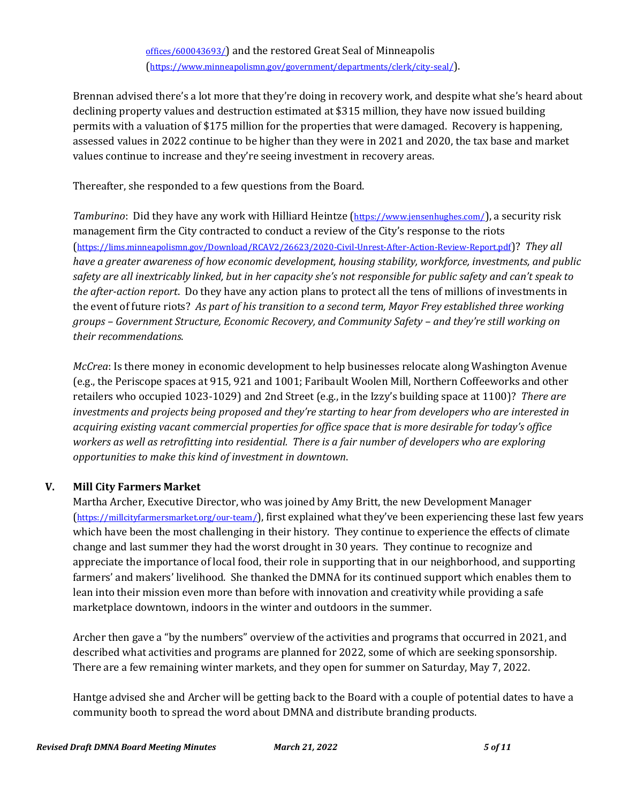[offices/600043693/](https://www.startribune.com/new-public-service-building-in-minneapolis-consolidates-city-offices/600043693/)) and the restored Great Seal of Minneapolis (<https://www.minneapolismn.gov/government/departments/clerk/city-seal/>).

Brennan advised there's a lot more that they're doing in recovery work, and despite what she's heard about declining property values and destruction estimated at \$315 million, they have now issued building permits with a valuation of \$175 million for the properties that were damaged. Recovery is happening, assessed values in 2022 continue to be higher than they were in 2021 and 2020, the tax base and market values continue to increase and they're seeing investment in recovery areas.

Thereafter, she responded to a few questions from the Board.

*Tamburino*: Did they have any work with Hilliard Heintze (<https://www.jensenhughes.com/>), a security risk management firm the City contracted to conduct a review of the City's response to the riots (<https://lims.minneapolismn.gov/Download/RCAV2/26623/2020-Civil-Unrest-After-Action-Review-Report.pdf>)? *They all have a greater awareness of how economic development, housing stability, workforce, investments, and public safety are all inextricably linked, but in her capacity she's not responsible for public safety and can't speak to the after-action report*. Do they have any action plans to protect all the tens of millions of investments in the event of future riots? *As part of his transition to a second term, Mayor Frey established three working groups – Government Structure, Economic Recovery, and Community Safety – and they're still working on their recommendations*.

*McCrea*: Is there money in economic development to help businesses relocate along Washington Avenue (e.g., the Periscope spaces at 915, 921 and 1001; Faribault Woolen Mill, Northern Coffeeworks and other retailers who occupied 1023-1029) and 2nd Street (e.g., in the Izzy's building space at 1100)? *There are investments and projects being proposed and they're starting to hear from developers who are interested in acquiring existing vacant commercial properties for office space that is more desirable for today's office workers as well as retrofitting into residential. There is a fair number of developers who are exploring opportunities to make this kind of investment in downtown*.

### **V. Mill City Farmers Market**

Martha Archer, Executive Director, who was joined by Amy Britt, the new Development Manager (<https://millcityfarmersmarket.org/our-team/>), first explained what they've been experiencing these last few years which have been the most challenging in their history. They continue to experience the effects of climate change and last summer they had the worst drought in 30 years. They continue to recognize and appreciate the importance of local food, their role in supporting that in our neighborhood, and supporting farmers' and makers' livelihood. She thanked the DMNA for its continued support which enables them to lean into their mission even more than before with innovation and creativity while providing a safe marketplace downtown, indoors in the winter and outdoors in the summer.

Archer then gave a "by the numbers" overview of the activities and programs that occurred in 2021, and described what activities and programs are planned for 2022, some of which are seeking sponsorship. There are a few remaining winter markets, and they open for summer on Saturday, May 7, 2022.

Hantge advised she and Archer will be getting back to the Board with a couple of potential dates to have a community booth to spread the word about DMNA and distribute branding products.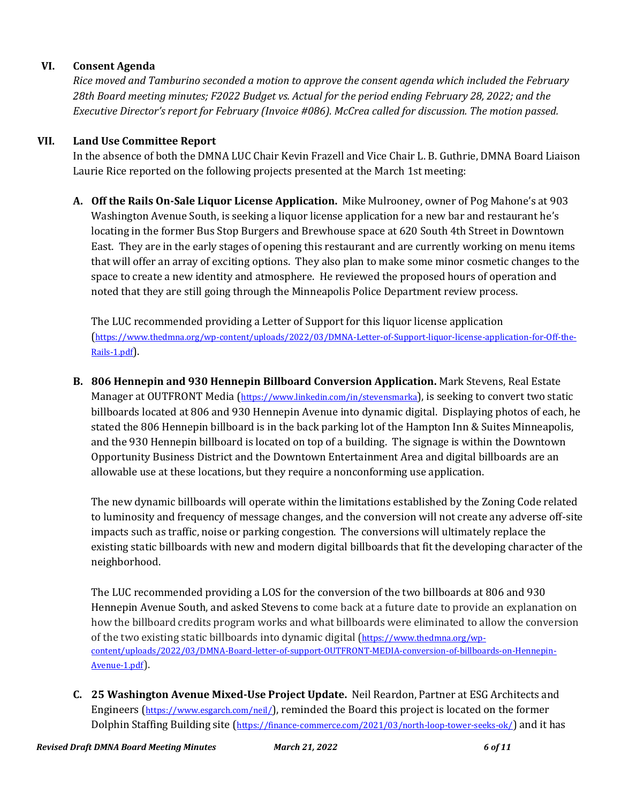### **VI. Consent Agenda**

*Rice moved and Tamburino seconded a motion to approve the consent agenda which included the February 28th Board meeting minutes; F2022 Budget vs. Actual for the period ending February 28, 2022; and the Executive Director's report for February (Invoice #086). McCrea called for discussion. The motion passed.*

### **VII. Land Use Committee Report**

In the absence of both the DMNA LUC Chair Kevin Frazell and Vice Chair L. B. Guthrie, DMNA Board Liaison Laurie Rice reported on the following projects presented at the March 1st meeting:

**A. Off the Rails On-Sale Liquor License Application.** Mike Mulrooney, owner of Pog Mahone's at 903 Washington Avenue South, is seeking a liquor license application for a new bar and restaurant he's locating in the former Bus Stop Burgers and Brewhouse space at 620 South 4th Street in Downtown East. They are in the early stages of opening this restaurant and are currently working on menu items that will offer an array of exciting options. They also plan to make some minor cosmetic changes to the space to create a new identity and atmosphere. He reviewed the proposed hours of operation and noted that they are still going through the Minneapolis Police Department review process.

The LUC recommended providing a Letter of Support for this liquor license application ([https://www.thedmna.org/wp-content/uploads/2022/03/DMNA-Letter-of-Support-liquor-license-application-for-Off-the-](https://www.thedmna.org/wp-content/uploads/2022/03/DMNA-Letter-of-Support-liquor-license-application-for-Off-the-Rails-1.pdf)[Rails-1.pdf](https://www.thedmna.org/wp-content/uploads/2022/03/DMNA-Letter-of-Support-liquor-license-application-for-Off-the-Rails-1.pdf)).

**B. 806 Hennepin and 930 Hennepin Billboard Conversion Application.** Mark Stevens, Real Estate Manager at OUTFRONT Media (<https://www.linkedin.com/in/stevensmarka>), is seeking to convert two static billboards located at 806 and 930 Hennepin Avenue into dynamic digital. Displaying photos of each, he stated the 806 Hennepin billboard is in the back parking lot of the Hampton Inn & Suites Minneapolis, and the 930 Hennepin billboard is located on top of a building. The signage is within the Downtown Opportunity Business District and the Downtown Entertainment Area and digital billboards are an allowable use at these locations, but they require a nonconforming use application.

The new dynamic billboards will operate within the limitations established by the Zoning Code related to luminosity and frequency of message changes, and the conversion will not create any adverse off-site impacts such as traffic, noise or parking congestion. The conversions will ultimately replace the existing static billboards with new and modern digital billboards that fit the developing character of the neighborhood.

The LUC recommended providing a LOS for the conversion of the two billboards at 806 and 930 Hennepin Avenue South, and asked Stevens to come back at a future date to provide an explanation on how the billboard credits program works and what billboards were eliminated to allow the conversion of the two existing static billboards into dynamic digital ([https://www.thedmna.org/wp](https://www.thedmna.org/wp-content/uploads/2022/03/DMNA-Board-letter-of-support-OUTFRONT-MEDIA-conversion-of-billboards-on-Hennepin-Avenue-1.pdf)[content/uploads/2022/03/DMNA-Board-letter-of-support-OUTFRONT-MEDIA-conversion-of-billboards-on-Hennepin-](https://www.thedmna.org/wp-content/uploads/2022/03/DMNA-Board-letter-of-support-OUTFRONT-MEDIA-conversion-of-billboards-on-Hennepin-Avenue-1.pdf)[Avenue-1.pdf](https://www.thedmna.org/wp-content/uploads/2022/03/DMNA-Board-letter-of-support-OUTFRONT-MEDIA-conversion-of-billboards-on-Hennepin-Avenue-1.pdf)).

**C. 25 Washington Avenue Mixed-Use Project Update.** Neil Reardon, Partner at ESG Architects and Engineers (<https://www.esgarch.com/neil/>), reminded the Board this project is located on the former Dolphin Staffing Building site (<https://finance-commerce.com/2021/03/north-loop-tower-seeks-ok/>) and it has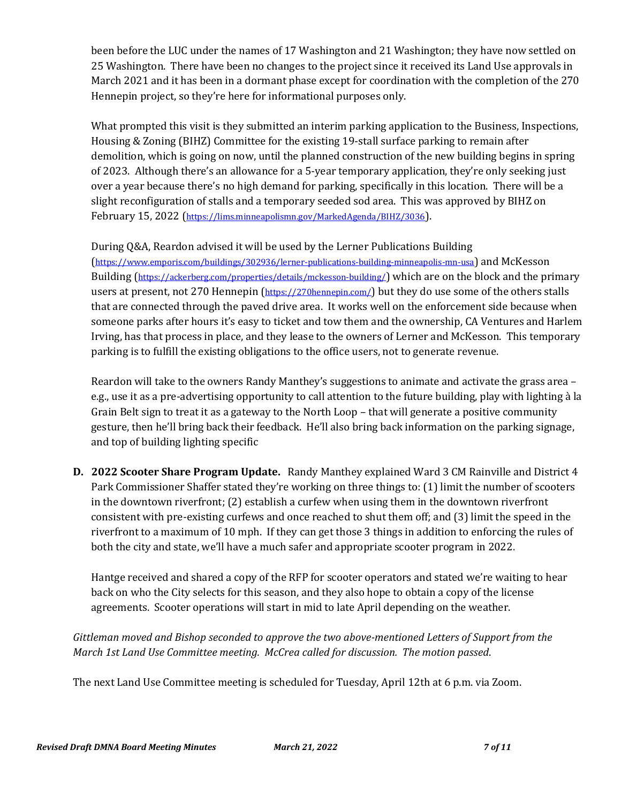been before the LUC under the names of 17 Washington and 21 Washington; they have now settled on 25 Washington. There have been no changes to the project since it received its Land Use approvals in March 2021 and it has been in a dormant phase except for coordination with the completion of the 270 Hennepin project, so they're here for informational purposes only.

What prompted this visit is they submitted an interim parking application to the Business, Inspections, Housing & Zoning (BIHZ) Committee for the existing 19-stall surface parking to remain after demolition, which is going on now, until the planned construction of the new building begins in spring of 2023. Although there's an allowance for a 5-year temporary application, they're only seeking just over a year because there's no high demand for parking, specifically in this location. There will be a slight reconfiguration of stalls and a temporary seeded sod area. This was approved by BIHZ on February 15, 2022 (<https://lims.minneapolismn.gov/MarkedAgenda/BIHZ/3036>).

## During Q&A, Reardon advised it will be used by the Lerner Publications Building

(<https://www.emporis.com/buildings/302936/lerner-publications-building-minneapolis-mn-usa>) and McKesson Building (<https://ackerberg.com/properties/details/mckesson-building/>) which are on the block and the primary users at present, not 270 Hennepin (<https://270hennepin.com/>) but they do use some of the others stalls that are connected through the paved drive area. It works well on the enforcement side because when someone parks after hours it's easy to ticket and tow them and the ownership, CA Ventures and Harlem Irving, has that process in place, and they lease to the owners of Lerner and McKesson. This temporary parking is to fulfill the existing obligations to the office users, not to generate revenue.

Reardon will take to the owners Randy Manthey's suggestions to animate and activate the grass area – e.g., use it as a pre-advertising opportunity to call attention to the future building, play with lighting à la Grain Belt sign to treat it as a gateway to the North Loop – that will generate a positive community gesture, then he'll bring back their feedback. He'll also bring back information on the parking signage, and top of building lighting specific

**D. 2022 Scooter Share Program Update.** Randy Manthey explained Ward 3 CM Rainville and District 4 Park Commissioner Shaffer stated they're working on three things to: (1) limit the number of scooters in the downtown riverfront; (2) establish a curfew when using them in the downtown riverfront consistent with pre-existing curfews and once reached to shut them off; and (3) limit the speed in the riverfront to a maximum of 10 mph. If they can get those 3 things in addition to enforcing the rules of both the city and state, we'll have a much safer and appropriate scooter program in 2022.

Hantge received and shared a copy of the RFP for scooter operators and stated we're waiting to hear back on who the City selects for this season, and they also hope to obtain a copy of the license agreements. Scooter operations will start in mid to late April depending on the weather.

*Gittleman moved and Bishop seconded to approve the two above-mentioned Letters of Support from the March 1st Land Use Committee meeting. McCrea called for discussion. The motion passed*.

The next Land Use Committee meeting is scheduled for Tuesday, April 12th at 6 p.m. via Zoom.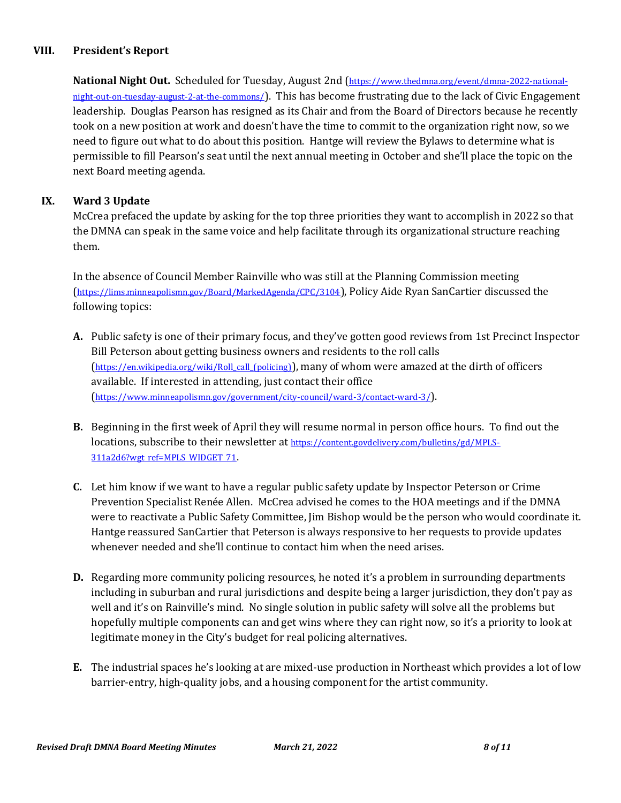### **VIII. President's Report**

**National Night Out.** Scheduled for Tuesday, August 2nd ([https://www.thedmna.org/event/dmna-2022-national](https://www.thedmna.org/event/dmna-2022-national-night-out-on-tuesday-august-2-at-the-commons/)[night-out-on-tuesday-august-2-at-the-commons/](https://www.thedmna.org/event/dmna-2022-national-night-out-on-tuesday-august-2-at-the-commons/)). This has become frustrating due to the lack of Civic Engagement leadership. Douglas Pearson has resigned as its Chair and from the Board of Directors because he recently took on a new position at work and doesn't have the time to commit to the organization right now, so we need to figure out what to do about this position. Hantge will review the Bylaws to determine what is permissible to fill Pearson's seat until the next annual meeting in October and she'll place the topic on the next Board meeting agenda.

### **IX. Ward 3 Update**

McCrea prefaced the update by asking for the top three priorities they want to accomplish in 2022 so that the DMNA can speak in the same voice and help facilitate through its organizational structure reaching them.

In the absence of Council Member Rainville who was still at the Planning Commission meeting (<https://lims.minneapolismn.gov/Board/MarkedAgenda/CPC/3104>), Policy Aide Ryan SanCartier discussed the following topics:

- **A.** Public safety is one of their primary focus, and they've gotten good reviews from 1st Precinct Inspector Bill Peterson about getting business owners and residents to the roll calls ([https://en.wikipedia.org/wiki/Roll\\_call\\_\(policing\)](https://en.wikipedia.org/wiki/Roll_call_(policing))), many of whom were amazed at the dirth of officers available. If interested in attending, just contact their office (<https://www.minneapolismn.gov/government/city-council/ward-3/contact-ward-3/>).
- **B.** Beginning in the first week of April they will resume normal in person office hours. To find out the locations, subscribe to their newsletter at [https://content.govdelivery.com/bulletins/gd/MPLS-](https://content.govdelivery.com/bulletins/gd/MPLS-311a2d6?wgt_ref=MPLS_WIDGET_71)[311a2d6?wgt\\_ref=MPLS\\_WIDGET\\_71](https://content.govdelivery.com/bulletins/gd/MPLS-311a2d6?wgt_ref=MPLS_WIDGET_71).
- **C.** Let him know if we want to have a regular public safety update by Inspector Peterson or Crime Prevention Specialist Renée Allen. McCrea advised he comes to the HOA meetings and if the DMNA were to reactivate a Public Safety Committee, Jim Bishop would be the person who would coordinate it. Hantge reassured SanCartier that Peterson is always responsive to her requests to provide updates whenever needed and she'll continue to contact him when the need arises.
- **D.** Regarding more community policing resources, he noted it's a problem in surrounding departments including in suburban and rural jurisdictions and despite being a larger jurisdiction, they don't pay as well and it's on Rainville's mind. No single solution in public safety will solve all the problems but hopefully multiple components can and get wins where they can right now, so it's a priority to look at legitimate money in the City's budget for real policing alternatives.
- **E.** The industrial spaces he's looking at are mixed-use production in Northeast which provides a lot of low barrier-entry, high-quality jobs, and a housing component for the artist community.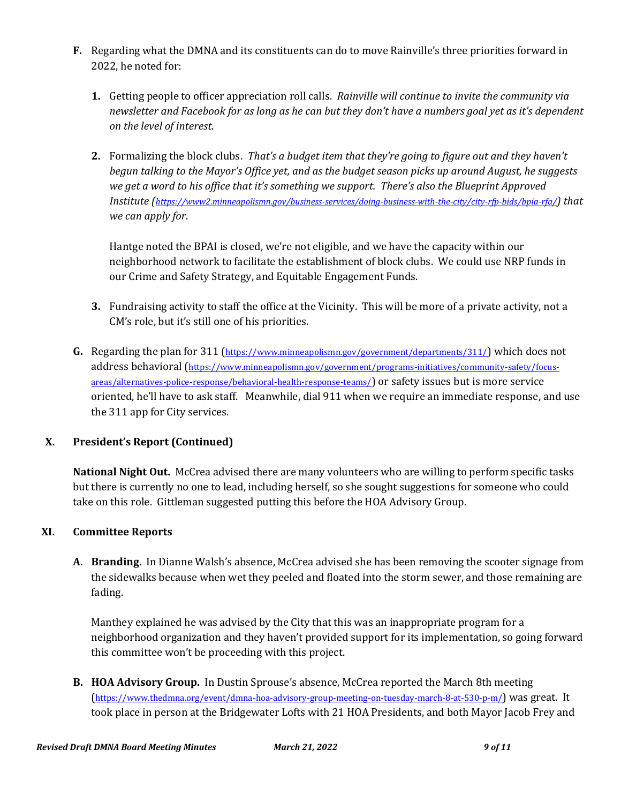- **F.** Regarding what the DMNA and its constituents can do to move Rainville's three priorities forward in 2022, he noted for:
	- **1.** Getting people to officer appreciation roll calls. *Rainville will continue to invite the community via newsletter and Facebook for as long as he can but they don't have a numbers goal yet as it's dependent on the level of interest*.
	- **2.** Formalizing the block clubs. *That's a budget item that they're going to figure out and they haven't begun talking to the Mayor's Office yet, and as the budget season picks up around August, he suggests we get a word to his office that it's something we support. There's also the Blueprint Approved Institute (<https://www2.minneapolismn.gov/business-services/doing-business-with-the-city/city-rfp-bids/bpia-rfa/>) that we can apply for*.

Hantge noted the BPAI is closed, we're not eligible, and we have the capacity within our neighborhood network to facilitate the establishment of block clubs. We could use NRP funds in our Crime and Safety Strategy, and Equitable Engagement Funds.

- **3.** Fundraising activity to staff the office at the Vicinity. This will be more of a private activity, not a CM's role, but it's still one of his priorities.
- **G.** Regarding the plan for 311 (<https://www.minneapolismn.gov/government/departments/311/>) which does not address behavioral ([https://www.minneapolismn.gov/government/programs-initiatives/community-safety/focus](https://www.minneapolismn.gov/government/programs-initiatives/community-safety/focus-areas/alternatives-police-response/behavioral-health-response-teams/)[areas/alternatives-police-response/behavioral-health-response-teams/](https://www.minneapolismn.gov/government/programs-initiatives/community-safety/focus-areas/alternatives-police-response/behavioral-health-response-teams/)) or safety issues but is more service oriented, he'll have to ask staff. Meanwhile, dial 911 when we require an immediate response, and use the 311 app for City services.

## **X. President's Report (Continued)**

**National Night Out.** McCrea advised there are many volunteers who are willing to perform specific tasks but there is currently no one to lead, including herself, so she sought suggestions for someone who could take on this role. Gittleman suggested putting this before the HOA Advisory Group.

## **XI. Committee Reports**

**A. Branding.** In Dianne Walsh's absence, McCrea advised she has been removing the scooter signage from the sidewalks because when wet they peeled and floated into the storm sewer, and those remaining are fading.

Manthey explained he was advised by the City that this was an inappropriate program for a neighborhood organization and they haven't provided support for its implementation, so going forward this committee won't be proceeding with this project.

**B. HOA Advisory Group.** In Dustin Sprouse's absence, McCrea reported the March 8th meeting (<https://www.thedmna.org/event/dmna-hoa-advisory-group-meeting-on-tuesday-march-8-at-530-p-m/>) was great. It took place in person at the Bridgewater Lofts with 21 HOA Presidents, and both Mayor Jacob Frey and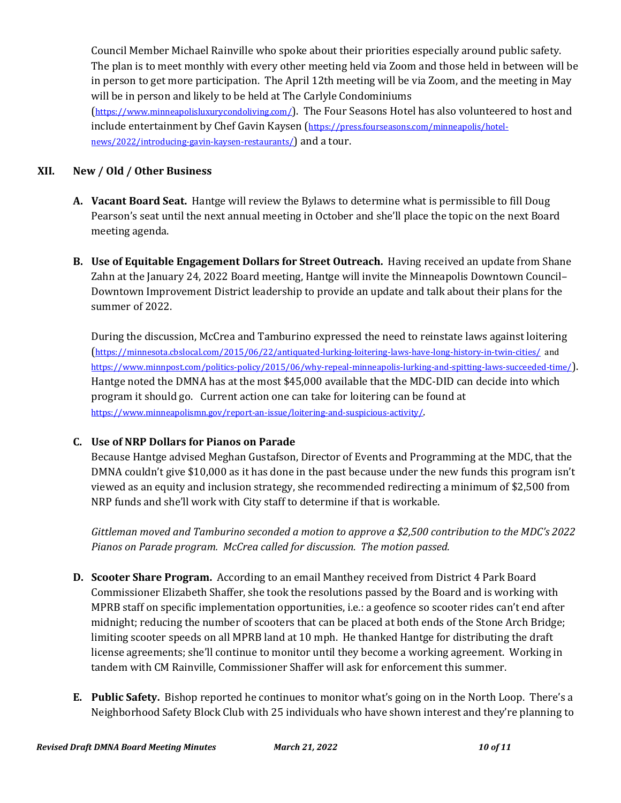Council Member Michael Rainville who spoke about their priorities especially around public safety. The plan is to meet monthly with every other meeting held via Zoom and those held in between will be in person to get more participation. The April 12th meeting will be via Zoom, and the meeting in May will be in person and likely to be held at The Carlyle Condominiums (<https://www.minneapolisluxurycondoliving.com/>). The Four Seasons Hotel has also volunteered to host and

include entertainment by Chef Gavin Kaysen ([https://press.fourseasons.com/minneapolis/hotel](https://press.fourseasons.com/minneapolis/hotel-news/2022/introducing-gavin-kaysen-restaurants/)[news/2022/introducing-gavin-kaysen-restaurants/](https://press.fourseasons.com/minneapolis/hotel-news/2022/introducing-gavin-kaysen-restaurants/)) and a tour.

## **XII. New / Old / Other Business**

- **A. Vacant Board Seat.** Hantge will review the Bylaws to determine what is permissible to fill Doug Pearson's seat until the next annual meeting in October and she'll place the topic on the next Board meeting agenda.
- **B. Use of Equitable Engagement Dollars for Street Outreach.** Having received an update from Shane Zahn at the January 24, 2022 Board meeting, Hantge will invite the Minneapolis Downtown Council– Downtown Improvement District leadership to provide an update and talk about their plans for the summer of 2022.

During the discussion, McCrea and Tamburino expressed the need to reinstate laws against loitering (<https://minnesota.cbslocal.com/2015/06/22/antiquated-lurking-loitering-laws-have-long-history-in-twin-cities/> and <https://www.minnpost.com/politics-policy/2015/06/why-repeal-minneapolis-lurking-and-spitting-laws-succeeded-time/>). Hantge noted the DMNA has at the most \$45,000 available that the MDC-DID can decide into which program it should go. Current action one can take for loitering can be found at <https://www.minneapolismn.gov/report-an-issue/loitering-and-suspicious-activity/>.

# **C. Use of NRP Dollars for Pianos on Parade**

Because Hantge advised Meghan Gustafson, Director of Events and Programming at the MDC, that the DMNA couldn't give \$10,000 as it has done in the past because under the new funds this program isn't viewed as an equity and inclusion strategy, she recommended redirecting a minimum of \$2,500 from NRP funds and she'll work with City staff to determine if that is workable.

*Gittleman moved and Tamburino seconded a motion to approve a \$2,500 contribution to the MDC's 2022 Pianos on Parade program. McCrea called for discussion. The motion passed.*

- **D. Scooter Share Program.** According to an email Manthey received from District 4 Park Board Commissioner Elizabeth Shaffer, she took the resolutions passed by the Board and is working with MPRB staff on specific implementation opportunities, i.e.: a geofence so scooter rides can't end after midnight; reducing the number of scooters that can be placed at both ends of the Stone Arch Bridge; limiting scooter speeds on all MPRB land at 10 mph. He thanked Hantge for distributing the draft license agreements; she'll continue to monitor until they become a working agreement. Working in tandem with CM Rainville, Commissioner Shaffer will ask for enforcement this summer.
- **E. Public Safety.** Bishop reported he continues to monitor what's going on in the North Loop. There's a Neighborhood Safety Block Club with 25 individuals who have shown interest and they're planning to